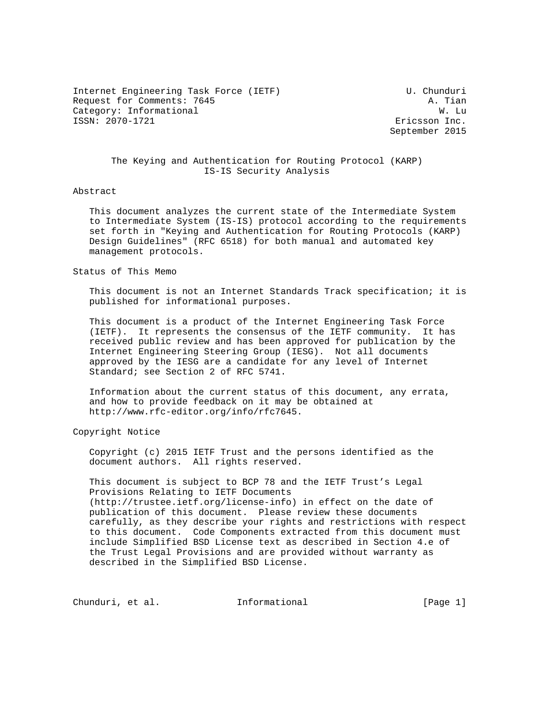Internet Engineering Task Force (IETF) U. Chunduri Request for Comments: 7645<br>Category: Informational and the category: Informational and the category: The category: The category: The category Category: Informational ISSN: 2070-1721 Ericsson Inc.

September 2015

# The Keying and Authentication for Routing Protocol (KARP) IS-IS Security Analysis

#### Abstract

 This document analyzes the current state of the Intermediate System to Intermediate System (IS-IS) protocol according to the requirements set forth in "Keying and Authentication for Routing Protocols (KARP) Design Guidelines" (RFC 6518) for both manual and automated key management protocols.

#### Status of This Memo

 This document is not an Internet Standards Track specification; it is published for informational purposes.

 This document is a product of the Internet Engineering Task Force (IETF). It represents the consensus of the IETF community. It has received public review and has been approved for publication by the Internet Engineering Steering Group (IESG). Not all documents approved by the IESG are a candidate for any level of Internet Standard; see Section 2 of RFC 5741.

 Information about the current status of this document, any errata, and how to provide feedback on it may be obtained at http://www.rfc-editor.org/info/rfc7645.

Copyright Notice

 Copyright (c) 2015 IETF Trust and the persons identified as the document authors. All rights reserved.

 This document is subject to BCP 78 and the IETF Trust's Legal Provisions Relating to IETF Documents (http://trustee.ietf.org/license-info) in effect on the date of publication of this document. Please review these documents carefully, as they describe your rights and restrictions with respect to this document. Code Components extracted from this document must include Simplified BSD License text as described in Section 4.e of the Trust Legal Provisions and are provided without warranty as described in the Simplified BSD License.

Chunduri, et al. 1nformational [Page 1]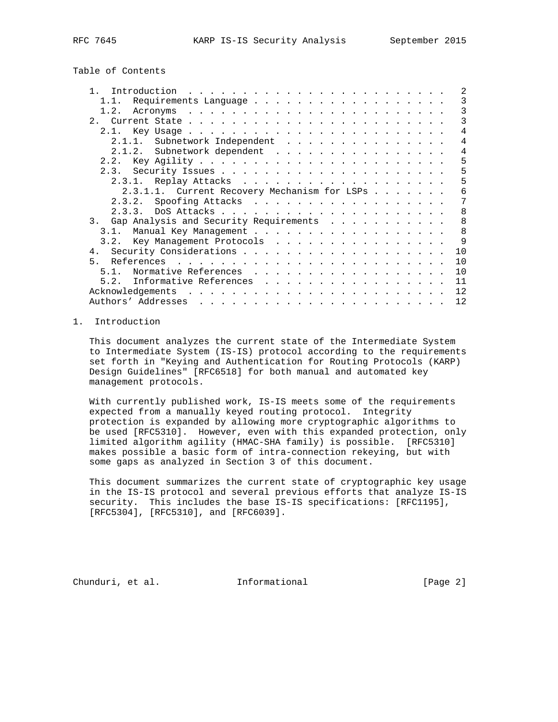Table of Contents

|                                              | 2              |  |
|----------------------------------------------|----------------|--|
| Requirements Language<br>1.1.                | 3              |  |
| 1.2.                                         | 3              |  |
|                                              | 3              |  |
| 2.1                                          | 4              |  |
| Subnetwork Independent<br>2.1.1.             | $\overline{4}$ |  |
| Subnetwork dependent<br>2.1.2.               | 4              |  |
| 2.2.                                         | 5              |  |
|                                              | 5              |  |
| 2.3.1.                                       | 5              |  |
| 2.3.1.1. Current Recovery Mechanism for LSPs | 6              |  |
| 2.3.2. Spoofing Attacks                      | 7              |  |
| 2, 3, 3                                      | 8              |  |
| 3. Gap Analysis and Security Requirements    | 8              |  |
| 3.1                                          | 8              |  |
| 3.2. Key Management Protocols                | 9              |  |
|                                              | 10             |  |
| 5.                                           | 10             |  |
| Normative References<br>51                   | 10             |  |
| Informative References<br>5.2.               | 11             |  |
|                                              | 12             |  |
|                                              |                |  |
| Authors' Addresses                           | 12             |  |

## 1. Introduction

 This document analyzes the current state of the Intermediate System to Intermediate System (IS-IS) protocol according to the requirements set forth in "Keying and Authentication for Routing Protocols (KARP) Design Guidelines" [RFC6518] for both manual and automated key management protocols.

With currently published work, IS-IS meets some of the requirements expected from a manually keyed routing protocol. Integrity protection is expanded by allowing more cryptographic algorithms to be used [RFC5310]. However, even with this expanded protection, only limited algorithm agility (HMAC-SHA family) is possible. [RFC5310] makes possible a basic form of intra-connection rekeying, but with some gaps as analyzed in Section 3 of this document.

 This document summarizes the current state of cryptographic key usage in the IS-IS protocol and several previous efforts that analyze IS-IS security. This includes the base IS-IS specifications: [RFC1195], [RFC5304], [RFC5310], and [RFC6039].

Chunduri, et al. Informational [Page 2]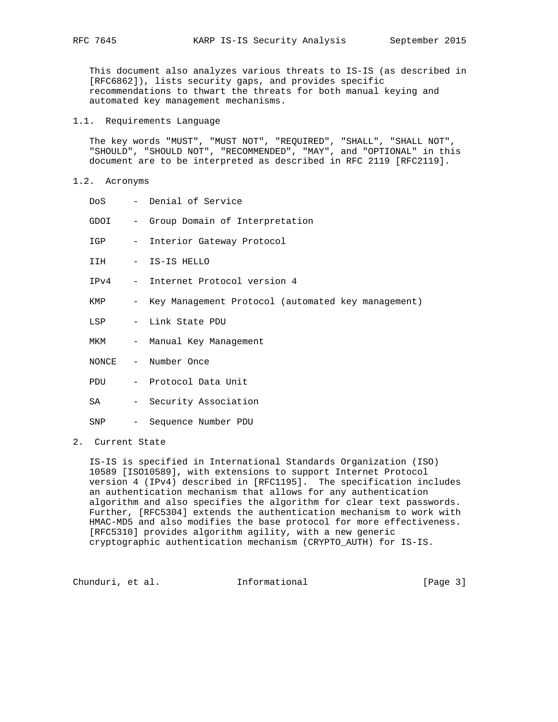This document also analyzes various threats to IS-IS (as described in [RFC6862]), lists security gaps, and provides specific recommendations to thwart the threats for both manual keying and automated key management mechanisms.

### 1.1. Requirements Language

 The key words "MUST", "MUST NOT", "REQUIRED", "SHALL", "SHALL NOT", "SHOULD", "SHOULD NOT", "RECOMMENDED", "MAY", and "OPTIONAL" in this document are to be interpreted as described in RFC 2119 [RFC2119].

#### 1.2. Acronyms

| DoS  | - Denial of Service                                  |
|------|------------------------------------------------------|
| GDOI | - Group Domain of Interpretation                     |
| IGP  | - Interior Gateway Protocol                          |
|      | IIH - IS-IS HELLO                                    |
|      | IPv4 - Internet Protocol version 4                   |
| KMP  | - Key Management Protocol (automated key management) |
| LSP  | - Link State PDU                                     |
| MKM  | - Manual Key Management                              |
|      | NONCE - Number Once                                  |
|      | PDU - Protocol Data Unit                             |
| SA   | - Security Association                               |
| SNP  | - Sequence Number PDU                                |

# 2. Current State

 IS-IS is specified in International Standards Organization (ISO) 10589 [ISO10589], with extensions to support Internet Protocol version 4 (IPv4) described in [RFC1195]. The specification includes an authentication mechanism that allows for any authentication algorithm and also specifies the algorithm for clear text passwords. Further, [RFC5304] extends the authentication mechanism to work with HMAC-MD5 and also modifies the base protocol for more effectiveness. [RFC5310] provides algorithm agility, with a new generic cryptographic authentication mechanism (CRYPTO\_AUTH) for IS-IS.

Chunduri, et al. 1nformational [Page 3]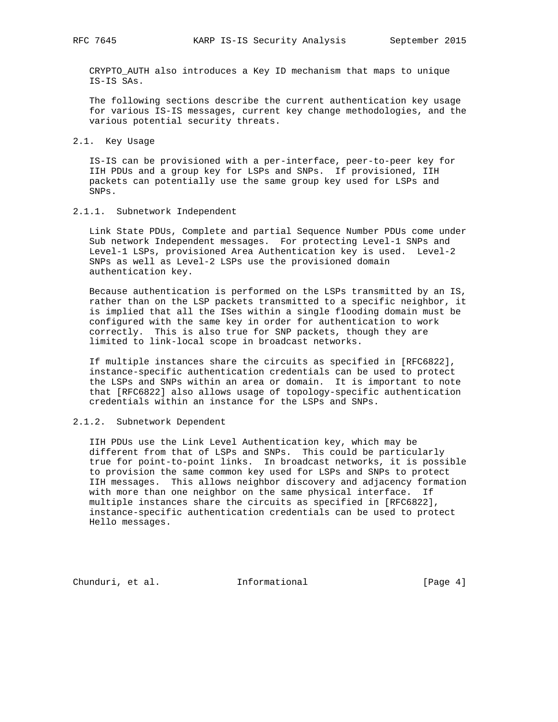CRYPTO\_AUTH also introduces a Key ID mechanism that maps to unique IS-IS SAs.

 The following sections describe the current authentication key usage for various IS-IS messages, current key change methodologies, and the various potential security threats.

#### 2.1. Key Usage

 IS-IS can be provisioned with a per-interface, peer-to-peer key for IIH PDUs and a group key for LSPs and SNPs. If provisioned, IIH packets can potentially use the same group key used for LSPs and SNPs.

2.1.1. Subnetwork Independent

 Link State PDUs, Complete and partial Sequence Number PDUs come under Sub network Independent messages. For protecting Level-1 SNPs and Level-1 LSPs, provisioned Area Authentication key is used. Level-2 SNPs as well as Level-2 LSPs use the provisioned domain authentication key.

 Because authentication is performed on the LSPs transmitted by an IS, rather than on the LSP packets transmitted to a specific neighbor, it is implied that all the ISes within a single flooding domain must be configured with the same key in order for authentication to work correctly. This is also true for SNP packets, though they are limited to link-local scope in broadcast networks.

 If multiple instances share the circuits as specified in [RFC6822], instance-specific authentication credentials can be used to protect the LSPs and SNPs within an area or domain. It is important to note that [RFC6822] also allows usage of topology-specific authentication credentials within an instance for the LSPs and SNPs.

## 2.1.2. Subnetwork Dependent

 IIH PDUs use the Link Level Authentication key, which may be different from that of LSPs and SNPs. This could be particularly true for point-to-point links. In broadcast networks, it is possible to provision the same common key used for LSPs and SNPs to protect IIH messages. This allows neighbor discovery and adjacency formation with more than one neighbor on the same physical interface. If multiple instances share the circuits as specified in [RFC6822], instance-specific authentication credentials can be used to protect Hello messages.

Chunduri, et al. 1nformational (Page 4)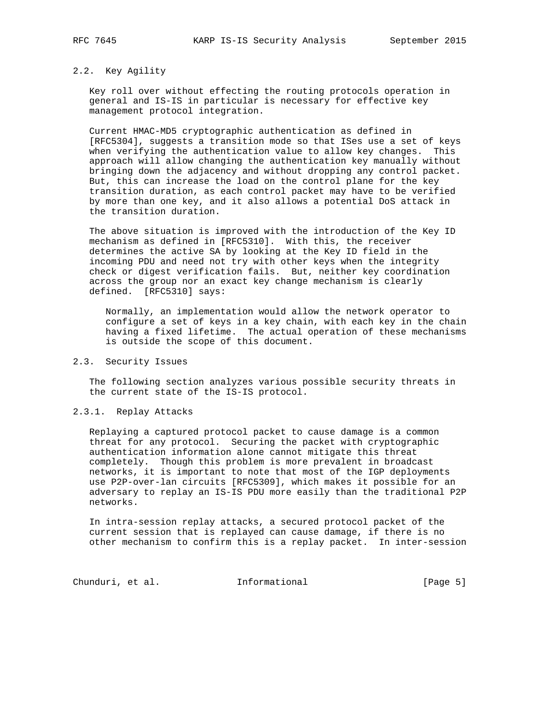# 2.2. Key Agility

 Key roll over without effecting the routing protocols operation in general and IS-IS in particular is necessary for effective key management protocol integration.

 Current HMAC-MD5 cryptographic authentication as defined in [RFC5304], suggests a transition mode so that ISes use a set of keys when verifying the authentication value to allow key changes. This approach will allow changing the authentication key manually without bringing down the adjacency and without dropping any control packet. But, this can increase the load on the control plane for the key transition duration, as each control packet may have to be verified by more than one key, and it also allows a potential DoS attack in the transition duration.

 The above situation is improved with the introduction of the Key ID mechanism as defined in [RFC5310]. With this, the receiver determines the active SA by looking at the Key ID field in the incoming PDU and need not try with other keys when the integrity check or digest verification fails. But, neither key coordination across the group nor an exact key change mechanism is clearly defined. [RFC5310] says:

 Normally, an implementation would allow the network operator to configure a set of keys in a key chain, with each key in the chain having a fixed lifetime. The actual operation of these mechanisms is outside the scope of this document.

### 2.3. Security Issues

 The following section analyzes various possible security threats in the current state of the IS-IS protocol.

#### 2.3.1. Replay Attacks

 Replaying a captured protocol packet to cause damage is a common threat for any protocol. Securing the packet with cryptographic authentication information alone cannot mitigate this threat completely. Though this problem is more prevalent in broadcast networks, it is important to note that most of the IGP deployments use P2P-over-lan circuits [RFC5309], which makes it possible for an adversary to replay an IS-IS PDU more easily than the traditional P2P networks.

 In intra-session replay attacks, a secured protocol packet of the current session that is replayed can cause damage, if there is no other mechanism to confirm this is a replay packet. In inter-session

Chunduri, et al. 1nformational [Page 5]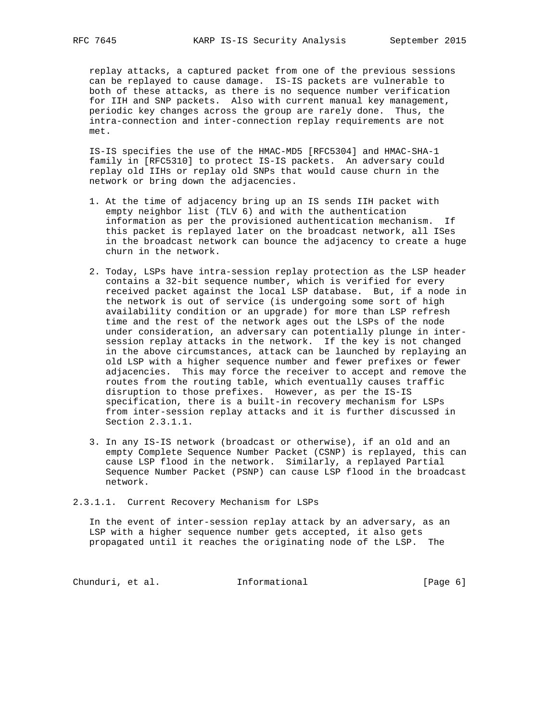replay attacks, a captured packet from one of the previous sessions can be replayed to cause damage. IS-IS packets are vulnerable to both of these attacks, as there is no sequence number verification for IIH and SNP packets. Also with current manual key management, periodic key changes across the group are rarely done. Thus, the intra-connection and inter-connection replay requirements are not met.

 IS-IS specifies the use of the HMAC-MD5 [RFC5304] and HMAC-SHA-1 family in [RFC5310] to protect IS-IS packets. An adversary could replay old IIHs or replay old SNPs that would cause churn in the network or bring down the adjacencies.

- 1. At the time of adjacency bring up an IS sends IIH packet with empty neighbor list (TLV 6) and with the authentication information as per the provisioned authentication mechanism. If this packet is replayed later on the broadcast network, all ISes in the broadcast network can bounce the adjacency to create a huge churn in the network.
- 2. Today, LSPs have intra-session replay protection as the LSP header contains a 32-bit sequence number, which is verified for every received packet against the local LSP database. But, if a node in the network is out of service (is undergoing some sort of high availability condition or an upgrade) for more than LSP refresh time and the rest of the network ages out the LSPs of the node under consideration, an adversary can potentially plunge in inter session replay attacks in the network. If the key is not changed in the above circumstances, attack can be launched by replaying an old LSP with a higher sequence number and fewer prefixes or fewer adjacencies. This may force the receiver to accept and remove the routes from the routing table, which eventually causes traffic disruption to those prefixes. However, as per the IS-IS specification, there is a built-in recovery mechanism for LSPs from inter-session replay attacks and it is further discussed in Section 2.3.1.1.
- 3. In any IS-IS network (broadcast or otherwise), if an old and an empty Complete Sequence Number Packet (CSNP) is replayed, this can cause LSP flood in the network. Similarly, a replayed Partial Sequence Number Packet (PSNP) can cause LSP flood in the broadcast network.

2.3.1.1. Current Recovery Mechanism for LSPs

 In the event of inter-session replay attack by an adversary, as an LSP with a higher sequence number gets accepted, it also gets propagated until it reaches the originating node of the LSP. The

Chunduri, et al. 1nformational (Page 6)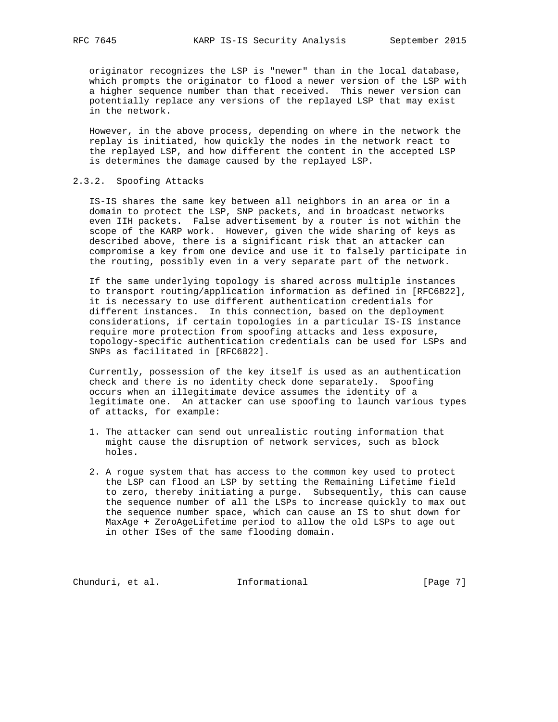originator recognizes the LSP is "newer" than in the local database, which prompts the originator to flood a newer version of the LSP with a higher sequence number than that received. This newer version can potentially replace any versions of the replayed LSP that may exist in the network.

 However, in the above process, depending on where in the network the replay is initiated, how quickly the nodes in the network react to the replayed LSP, and how different the content in the accepted LSP is determines the damage caused by the replayed LSP.

## 2.3.2. Spoofing Attacks

 IS-IS shares the same key between all neighbors in an area or in a domain to protect the LSP, SNP packets, and in broadcast networks even IIH packets. False advertisement by a router is not within the scope of the KARP work. However, given the wide sharing of keys as described above, there is a significant risk that an attacker can compromise a key from one device and use it to falsely participate in the routing, possibly even in a very separate part of the network.

 If the same underlying topology is shared across multiple instances to transport routing/application information as defined in [RFC6822], it is necessary to use different authentication credentials for different instances. In this connection, based on the deployment considerations, if certain topologies in a particular IS-IS instance require more protection from spoofing attacks and less exposure, topology-specific authentication credentials can be used for LSPs and SNPs as facilitated in [RFC6822].

 Currently, possession of the key itself is used as an authentication check and there is no identity check done separately. Spoofing occurs when an illegitimate device assumes the identity of a legitimate one. An attacker can use spoofing to launch various types of attacks, for example:

- 1. The attacker can send out unrealistic routing information that might cause the disruption of network services, such as block holes.
- 2. A rogue system that has access to the common key used to protect the LSP can flood an LSP by setting the Remaining Lifetime field to zero, thereby initiating a purge. Subsequently, this can cause the sequence number of all the LSPs to increase quickly to max out the sequence number space, which can cause an IS to shut down for MaxAge + ZeroAgeLifetime period to allow the old LSPs to age out in other ISes of the same flooding domain.

Chunduri, et al. 1nformational (Page 7)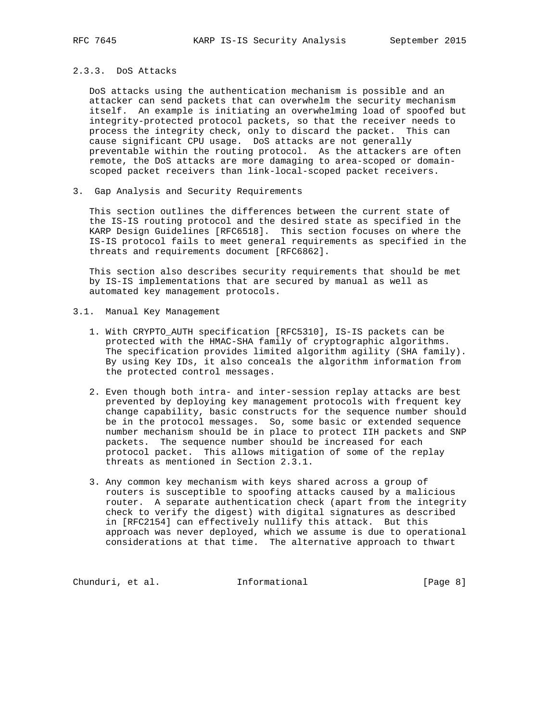# 2.3.3. DoS Attacks

 DoS attacks using the authentication mechanism is possible and an attacker can send packets that can overwhelm the security mechanism itself. An example is initiating an overwhelming load of spoofed but integrity-protected protocol packets, so that the receiver needs to process the integrity check, only to discard the packet. This can cause significant CPU usage. DoS attacks are not generally preventable within the routing protocol. As the attackers are often remote, the DoS attacks are more damaging to area-scoped or domain scoped packet receivers than link-local-scoped packet receivers.

3. Gap Analysis and Security Requirements

 This section outlines the differences between the current state of the IS-IS routing protocol and the desired state as specified in the KARP Design Guidelines [RFC6518]. This section focuses on where the IS-IS protocol fails to meet general requirements as specified in the threats and requirements document [RFC6862].

 This section also describes security requirements that should be met by IS-IS implementations that are secured by manual as well as automated key management protocols.

- 3.1. Manual Key Management
	- 1. With CRYPTO\_AUTH specification [RFC5310], IS-IS packets can be protected with the HMAC-SHA family of cryptographic algorithms. The specification provides limited algorithm agility (SHA family). By using Key IDs, it also conceals the algorithm information from the protected control messages.
	- 2. Even though both intra- and inter-session replay attacks are best prevented by deploying key management protocols with frequent key change capability, basic constructs for the sequence number should be in the protocol messages. So, some basic or extended sequence number mechanism should be in place to protect IIH packets and SNP packets. The sequence number should be increased for each protocol packet. This allows mitigation of some of the replay threats as mentioned in Section 2.3.1.
	- 3. Any common key mechanism with keys shared across a group of routers is susceptible to spoofing attacks caused by a malicious router. A separate authentication check (apart from the integrity check to verify the digest) with digital signatures as described in [RFC2154] can effectively nullify this attack. But this approach was never deployed, which we assume is due to operational considerations at that time. The alternative approach to thwart

Chunduri, et al. 1nformational [Page 8]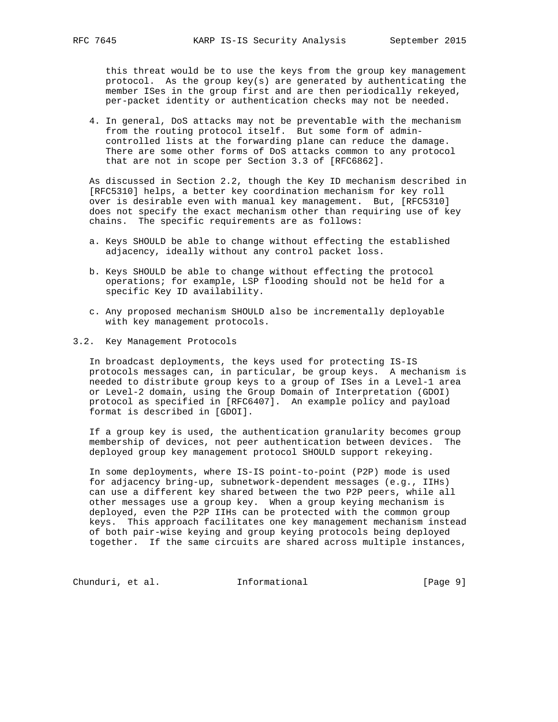this threat would be to use the keys from the group key management protocol. As the group key(s) are generated by authenticating the member ISes in the group first and are then periodically rekeyed, per-packet identity or authentication checks may not be needed.

 4. In general, DoS attacks may not be preventable with the mechanism from the routing protocol itself. But some form of admin controlled lists at the forwarding plane can reduce the damage. There are some other forms of DoS attacks common to any protocol that are not in scope per Section 3.3 of [RFC6862].

 As discussed in Section 2.2, though the Key ID mechanism described in [RFC5310] helps, a better key coordination mechanism for key roll over is desirable even with manual key management. But, [RFC5310] does not specify the exact mechanism other than requiring use of key chains. The specific requirements are as follows:

- a. Keys SHOULD be able to change without effecting the established adjacency, ideally without any control packet loss.
- b. Keys SHOULD be able to change without effecting the protocol operations; for example, LSP flooding should not be held for a specific Key ID availability.
- c. Any proposed mechanism SHOULD also be incrementally deployable with key management protocols.
- 3.2. Key Management Protocols

 In broadcast deployments, the keys used for protecting IS-IS protocols messages can, in particular, be group keys. A mechanism is needed to distribute group keys to a group of ISes in a Level-1 area or Level-2 domain, using the Group Domain of Interpretation (GDOI) protocol as specified in [RFC6407]. An example policy and payload format is described in [GDOI].

 If a group key is used, the authentication granularity becomes group membership of devices, not peer authentication between devices. The deployed group key management protocol SHOULD support rekeying.

 In some deployments, where IS-IS point-to-point (P2P) mode is used for adjacency bring-up, subnetwork-dependent messages (e.g., IIHs) can use a different key shared between the two P2P peers, while all other messages use a group key. When a group keying mechanism is deployed, even the P2P IIHs can be protected with the common group keys. This approach facilitates one key management mechanism instead of both pair-wise keying and group keying protocols being deployed together. If the same circuits are shared across multiple instances,

Chunduri, et al. 1nformational (Page 9)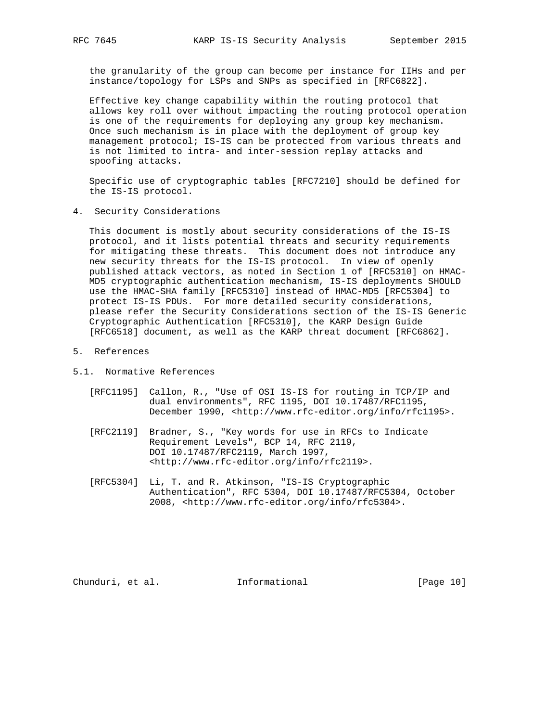the granularity of the group can become per instance for IIHs and per instance/topology for LSPs and SNPs as specified in [RFC6822].

 Effective key change capability within the routing protocol that allows key roll over without impacting the routing protocol operation is one of the requirements for deploying any group key mechanism. Once such mechanism is in place with the deployment of group key management protocol; IS-IS can be protected from various threats and is not limited to intra- and inter-session replay attacks and spoofing attacks.

 Specific use of cryptographic tables [RFC7210] should be defined for the IS-IS protocol.

4. Security Considerations

 This document is mostly about security considerations of the IS-IS protocol, and it lists potential threats and security requirements for mitigating these threats. This document does not introduce any new security threats for the IS-IS protocol. In view of openly published attack vectors, as noted in Section 1 of [RFC5310] on HMAC- MD5 cryptographic authentication mechanism, IS-IS deployments SHOULD use the HMAC-SHA family [RFC5310] instead of HMAC-MD5 [RFC5304] to protect IS-IS PDUs. For more detailed security considerations, please refer the Security Considerations section of the IS-IS Generic Cryptographic Authentication [RFC5310], the KARP Design Guide [RFC6518] document, as well as the KARP threat document [RFC6862].

- 5. References
- 5.1. Normative References
	- [RFC1195] Callon, R., "Use of OSI IS-IS for routing in TCP/IP and dual environments", RFC 1195, DOI 10.17487/RFC1195, December 1990, <http://www.rfc-editor.org/info/rfc1195>.
	- [RFC2119] Bradner, S., "Key words for use in RFCs to Indicate Requirement Levels", BCP 14, RFC 2119, DOI 10.17487/RFC2119, March 1997, <http://www.rfc-editor.org/info/rfc2119>.
	- [RFC5304] Li, T. and R. Atkinson, "IS-IS Cryptographic Authentication", RFC 5304, DOI 10.17487/RFC5304, October 2008, <http://www.rfc-editor.org/info/rfc5304>.

Chunduri, et al. 1nformational [Page 10]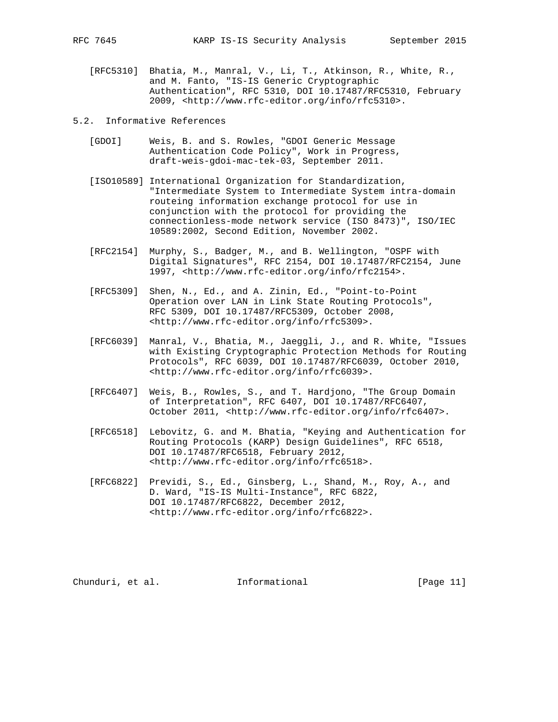[RFC5310] Bhatia, M., Manral, V., Li, T., Atkinson, R., White, R., and M. Fanto, "IS-IS Generic Cryptographic Authentication", RFC 5310, DOI 10.17487/RFC5310, February 2009, <http://www.rfc-editor.org/info/rfc5310>.

### 5.2. Informative References

- [GDOI] Weis, B. and S. Rowles, "GDOI Generic Message Authentication Code Policy", Work in Progress, draft-weis-gdoi-mac-tek-03, September 2011.
- [ISO10589] International Organization for Standardization, "Intermediate System to Intermediate System intra-domain routeing information exchange protocol for use in conjunction with the protocol for providing the connectionless-mode network service (ISO 8473)", ISO/IEC 10589:2002, Second Edition, November 2002.
- [RFC2154] Murphy, S., Badger, M., and B. Wellington, "OSPF with Digital Signatures", RFC 2154, DOI 10.17487/RFC2154, June 1997, <http://www.rfc-editor.org/info/rfc2154>.
- [RFC5309] Shen, N., Ed., and A. Zinin, Ed., "Point-to-Point Operation over LAN in Link State Routing Protocols", RFC 5309, DOI 10.17487/RFC5309, October 2008, <http://www.rfc-editor.org/info/rfc5309>.
- [RFC6039] Manral, V., Bhatia, M., Jaeggli, J., and R. White, "Issues with Existing Cryptographic Protection Methods for Routing Protocols", RFC 6039, DOI 10.17487/RFC6039, October 2010, <http://www.rfc-editor.org/info/rfc6039>.
- [RFC6407] Weis, B., Rowles, S., and T. Hardjono, "The Group Domain of Interpretation", RFC 6407, DOI 10.17487/RFC6407, October 2011, <http://www.rfc-editor.org/info/rfc6407>.
- [RFC6518] Lebovitz, G. and M. Bhatia, "Keying and Authentication for Routing Protocols (KARP) Design Guidelines", RFC 6518, DOI 10.17487/RFC6518, February 2012, <http://www.rfc-editor.org/info/rfc6518>.
- [RFC6822] Previdi, S., Ed., Ginsberg, L., Shand, M., Roy, A., and D. Ward, "IS-IS Multi-Instance", RFC 6822, DOI 10.17487/RFC6822, December 2012, <http://www.rfc-editor.org/info/rfc6822>.

Chunduri, et al. 1nformational [Page 11]